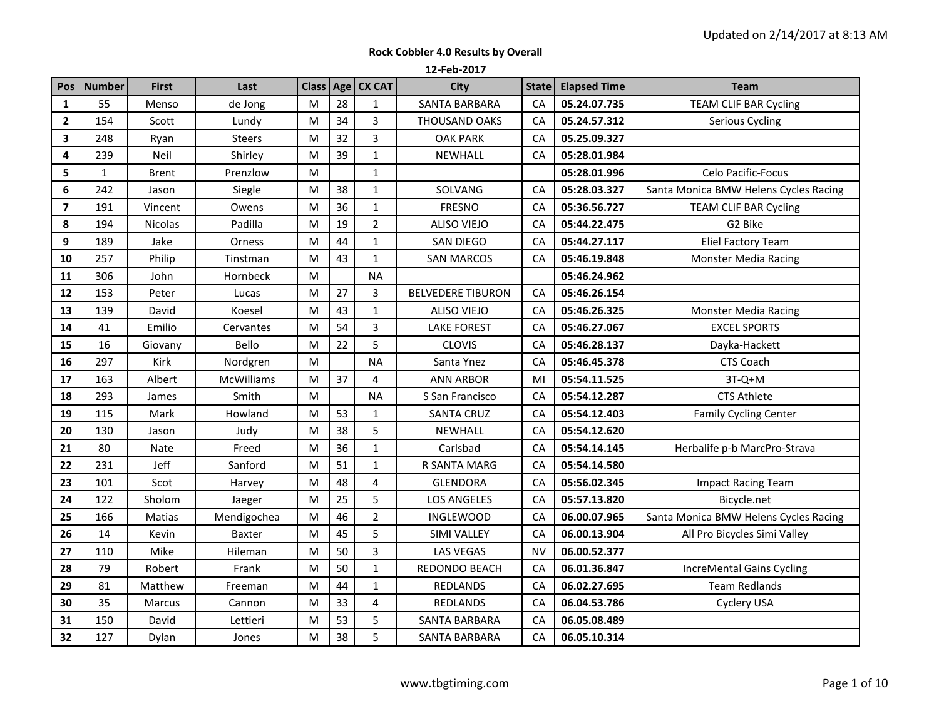|                         | 12-Feb-2017   |                |                   |              |     |                |                          |              |                     |                                       |  |  |  |
|-------------------------|---------------|----------------|-------------------|--------------|-----|----------------|--------------------------|--------------|---------------------|---------------------------------------|--|--|--|
| Pos                     | <b>Number</b> | <b>First</b>   | Last              | <b>Class</b> | Age | <b>CX CAT</b>  | City                     | <b>State</b> | <b>Elapsed Time</b> | <b>Team</b>                           |  |  |  |
| 1                       | 55            | Menso          | de Jong           | M            | 28  | 1              | <b>SANTA BARBARA</b>     | CA           | 05.24.07.735        | TEAM CLIF BAR Cycling                 |  |  |  |
| $\mathbf{2}$            | 154           | Scott          | Lundy             | M            | 34  | 3              | THOUSAND OAKS            | CA           | 05.24.57.312        | Serious Cycling                       |  |  |  |
| 3                       | 248           | Ryan           | <b>Steers</b>     | M            | 32  | 3              | <b>OAK PARK</b>          | CA           | 05.25.09.327        |                                       |  |  |  |
| 4                       | 239           | Neil           | Shirley           | M            | 39  | $\mathbf{1}$   | <b>NEWHALL</b>           | CA           | 05:28.01.984        |                                       |  |  |  |
| 5                       | $\mathbf{1}$  | <b>Brent</b>   | Prenzlow          | M            |     | $\mathbf{1}$   |                          |              | 05:28.01.996        | Celo Pacific-Focus                    |  |  |  |
| 6                       | 242           | Jason          | Siegle            | M            | 38  | $\mathbf{1}$   | SOLVANG                  | CA           | 05:28.03.327        | Santa Monica BMW Helens Cycles Racing |  |  |  |
| $\overline{\mathbf{z}}$ | 191           | Vincent        | Owens             | M            | 36  | $\mathbf{1}$   | <b>FRESNO</b>            | CA           | 05:36.56.727        | TEAM CLIF BAR Cycling                 |  |  |  |
| 8                       | 194           | <b>Nicolas</b> | Padilla           | M            | 19  | $\overline{2}$ | <b>ALISO VIEJO</b>       | CA           | 05:44.22.475        | G2 Bike                               |  |  |  |
| 9                       | 189           | Jake           | Orness            | M            | 44  | $\mathbf{1}$   | <b>SAN DIEGO</b>         | CA           | 05:44.27.117        | Eliel Factory Team                    |  |  |  |
| 10                      | 257           | Philip         | Tinstman          | M            | 43  | $\mathbf{1}$   | <b>SAN MARCOS</b>        | CA           | 05:46.19.848        | <b>Monster Media Racing</b>           |  |  |  |
| 11                      | 306           | John           | Hornbeck          | M            |     | <b>NA</b>      |                          |              | 05:46.24.962        |                                       |  |  |  |
| 12                      | 153           | Peter          | Lucas             | M            | 27  | 3              | <b>BELVEDERE TIBURON</b> | CA           | 05:46.26.154        |                                       |  |  |  |
| 13                      | 139           | David          | Koesel            | M            | 43  | $\mathbf{1}$   | <b>ALISO VIEJO</b>       | CA           | 05:46.26.325        | <b>Monster Media Racing</b>           |  |  |  |
| 14                      | 41            | Emilio         | Cervantes         | M            | 54  | 3              | <b>LAKE FOREST</b>       | CA           | 05:46.27.067        | <b>EXCEL SPORTS</b>                   |  |  |  |
| 15                      | 16            | Giovany        | Bello             | M            | 22  | 5              | <b>CLOVIS</b>            | CA           | 05:46.28.137        | Dayka-Hackett                         |  |  |  |
| 16                      | 297           | Kirk           | Nordgren          | M            |     | <b>NA</b>      | Santa Ynez               | CA           | 05:46.45.378        | <b>CTS Coach</b>                      |  |  |  |
| 17                      | 163           | Albert         | <b>McWilliams</b> | м            | 37  | 4              | <b>ANN ARBOR</b>         | MI           | 05:54.11.525        | $3T-Q+M$                              |  |  |  |
| 18                      | 293           | James          | Smith             | M            |     | <b>NA</b>      | S San Francisco          | CA           | 05:54.12.287        | <b>CTS Athlete</b>                    |  |  |  |
| 19                      | 115           | Mark           | Howland           | M            | 53  | $\mathbf{1}$   | <b>SANTA CRUZ</b>        | CA           | 05:54.12.403        | <b>Family Cycling Center</b>          |  |  |  |
| 20                      | 130           | Jason          | Judy              | M            | 38  | 5              | <b>NEWHALL</b>           | CA           | 05:54.12.620        |                                       |  |  |  |
| 21                      | 80            | Nate           | Freed             | M            | 36  | $\mathbf{1}$   | Carlsbad                 | CA           | 05:54.14.145        | Herbalife p-b MarcPro-Strava          |  |  |  |
| 22                      | 231           | Jeff           | Sanford           | M            | 51  | $\mathbf{1}$   | R SANTA MARG             | CA           | 05:54.14.580        |                                       |  |  |  |
| 23                      | 101           | Scot           | Harvey            | M            | 48  | 4              | <b>GLENDORA</b>          | CA           | 05:56.02.345        | <b>Impact Racing Team</b>             |  |  |  |
| 24                      | 122           | Sholom         | Jaeger            | M            | 25  | 5              | <b>LOS ANGELES</b>       | CA           | 05:57.13.820        | Bicycle.net                           |  |  |  |
| 25                      | 166           | Matias         | Mendigochea       | M            | 46  | $\overline{2}$ | <b>INGLEWOOD</b>         | CA           | 06.00.07.965        | Santa Monica BMW Helens Cycles Racing |  |  |  |
| 26                      | 14            | Kevin          | Baxter            | M            | 45  | 5              | <b>SIMI VALLEY</b>       | CA           | 06.00.13.904        | All Pro Bicycles Simi Valley          |  |  |  |
| 27                      | 110           | Mike           | Hileman           | M            | 50  | 3              | <b>LAS VEGAS</b>         | <b>NV</b>    | 06.00.52.377        |                                       |  |  |  |
| 28                      | 79            | Robert         | Frank             | M            | 50  | $\mathbf{1}$   | REDONDO BEACH            | CA           | 06.01.36.847        | <b>IncreMental Gains Cycling</b>      |  |  |  |
| 29                      | 81            | Matthew        | Freeman           | M            | 44  | $\mathbf{1}$   | <b>REDLANDS</b>          | CA           | 06.02.27.695        | <b>Team Redlands</b>                  |  |  |  |
| 30                      | 35            | Marcus         | Cannon            | M            | 33  | 4              | REDLANDS                 | CA           | 06.04.53.786        | Cyclery USA                           |  |  |  |
| 31                      | 150           | David          | Lettieri          | M            | 53  | 5              | SANTA BARBARA            | CA           | 06.05.08.489        |                                       |  |  |  |
| 32                      | 127           | Dylan          | Jones             | M            | 38  | 5              | <b>SANTA BARBARA</b>     | CA           | 06.05.10.314        |                                       |  |  |  |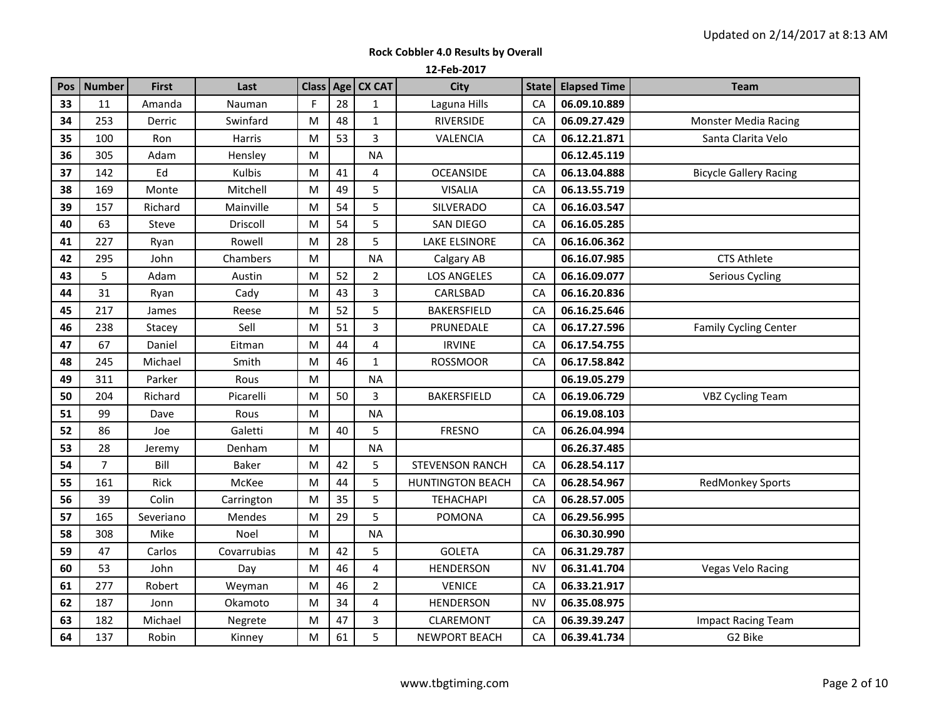|     | 12-Feb-2017    |              |             |              |     |                |                         |              |                     |                               |  |  |  |
|-----|----------------|--------------|-------------|--------------|-----|----------------|-------------------------|--------------|---------------------|-------------------------------|--|--|--|
| Pos | <b>Number</b>  | <b>First</b> | Last        | <b>Class</b> | Age | <b>CX CAT</b>  | City                    | <b>State</b> | <b>Elapsed Time</b> | <b>Team</b>                   |  |  |  |
| 33  | 11             | Amanda       | Nauman      | E            | 28  | $\mathbf{1}$   | Laguna Hills            | CA           | 06.09.10.889        |                               |  |  |  |
| 34  | 253            | Derric       | Swinfard    | M            | 48  | $\mathbf{1}$   | <b>RIVERSIDE</b>        | CA           | 06.09.27.429        | <b>Monster Media Racing</b>   |  |  |  |
| 35  | 100            | Ron          | Harris      | M            | 53  | 3              | VALENCIA                | CA           | 06.12.21.871        | Santa Clarita Velo            |  |  |  |
| 36  | 305            | Adam         | Hensley     | M            |     | <b>NA</b>      |                         |              | 06.12.45.119        |                               |  |  |  |
| 37  | 142            | Ed           | Kulbis      | M            | 41  | 4              | <b>OCEANSIDE</b>        | CA           | 06.13.04.888        | <b>Bicycle Gallery Racing</b> |  |  |  |
| 38  | 169            | Monte        | Mitchell    | M            | 49  | 5              | <b>VISALIA</b>          | CA           | 06.13.55.719        |                               |  |  |  |
| 39  | 157            | Richard      | Mainville   | M            | 54  | 5              | <b>SILVERADO</b>        | CA           | 06.16.03.547        |                               |  |  |  |
| 40  | 63             | Steve        | Driscoll    | M            | 54  | 5              | <b>SAN DIEGO</b>        | CA           | 06.16.05.285        |                               |  |  |  |
| 41  | 227            | Ryan         | Rowell      | M            | 28  | 5              | LAKE ELSINORE           | CA           | 06.16.06.362        |                               |  |  |  |
| 42  | 295            | John         | Chambers    | M            |     | <b>NA</b>      | Calgary AB              |              | 06.16.07.985        | <b>CTS Athlete</b>            |  |  |  |
| 43  | 5              | Adam         | Austin      | M            | 52  | $\overline{2}$ | <b>LOS ANGELES</b>      | CA           | 06.16.09.077        | Serious Cycling               |  |  |  |
| 44  | 31             | Ryan         | Cady        | M            | 43  | 3              | CARLSBAD                | CA           | 06.16.20.836        |                               |  |  |  |
| 45  | 217            | James        | Reese       | M            | 52  | 5              | BAKERSFIELD             | CA           | 06.16.25.646        |                               |  |  |  |
| 46  | 238            | Stacey       | Sell        | M            | 51  | 3              | PRUNEDALE               | CA           | 06.17.27.596        | <b>Family Cycling Center</b>  |  |  |  |
| 47  | 67             | Daniel       | Eitman      | M            | 44  | 4              | <b>IRVINE</b>           | CA           | 06.17.54.755        |                               |  |  |  |
| 48  | 245            | Michael      | Smith       | M            | 46  | $\mathbf{1}$   | <b>ROSSMOOR</b>         | CA           | 06.17.58.842        |                               |  |  |  |
| 49  | 311            | Parker       | Rous        | M            |     | <b>NA</b>      |                         |              | 06.19.05.279        |                               |  |  |  |
| 50  | 204            | Richard      | Picarelli   | M            | 50  | 3              | <b>BAKERSFIELD</b>      | CA           | 06.19.06.729        | <b>VBZ Cycling Team</b>       |  |  |  |
| 51  | 99             | Dave         | Rous        | M            |     | <b>NA</b>      |                         |              | 06.19.08.103        |                               |  |  |  |
| 52  | 86             | Joe          | Galetti     | M            | 40  | 5              | <b>FRESNO</b>           | CA           | 06.26.04.994        |                               |  |  |  |
| 53  | 28             | Jeremy       | Denham      | M            |     | <b>NA</b>      |                         |              | 06.26.37.485        |                               |  |  |  |
| 54  | $\overline{7}$ | Bill         | Baker       | M            | 42  | 5              | <b>STEVENSON RANCH</b>  | CA           | 06.28.54.117        |                               |  |  |  |
| 55  | 161            | Rick         | McKee       | M            | 44  | 5              | <b>HUNTINGTON BEACH</b> | CA           | 06.28.54.967        | <b>RedMonkey Sports</b>       |  |  |  |
| 56  | 39             | Colin        | Carrington  | M            | 35  | 5              | <b>TEHACHAPI</b>        | CA           | 06.28.57.005        |                               |  |  |  |
| 57  | 165            | Severiano    | Mendes      | M            | 29  | 5              | <b>POMONA</b>           | CA           | 06.29.56.995        |                               |  |  |  |
| 58  | 308            | Mike         | Noel        | M            |     | <b>NA</b>      |                         |              | 06.30.30.990        |                               |  |  |  |
| 59  | 47             | Carlos       | Covarrubias | M            | 42  | 5              | <b>GOLETA</b>           | CA           | 06.31.29.787        |                               |  |  |  |
| 60  | 53             | John         | Day         | M            | 46  | 4              | <b>HENDERSON</b>        | <b>NV</b>    | 06.31.41.704        | <b>Vegas Velo Racing</b>      |  |  |  |
| 61  | 277            | Robert       | Weyman      | M            | 46  | $\overline{2}$ | <b>VENICE</b>           | CA           | 06.33.21.917        |                               |  |  |  |
| 62  | 187            | Jonn         | Okamoto     | M            | 34  | 4              | <b>HENDERSON</b>        | <b>NV</b>    | 06.35.08.975        |                               |  |  |  |
| 63  | 182            | Michael      | Negrete     | M            | 47  | 3              | <b>CLAREMONT</b>        | CA           | 06.39.39.247        | <b>Impact Racing Team</b>     |  |  |  |
| 64  | 137            | Robin        | Kinney      | M            | 61  | 5              | <b>NEWPORT BEACH</b>    | CA           | 06.39.41.734        | G2 Bike                       |  |  |  |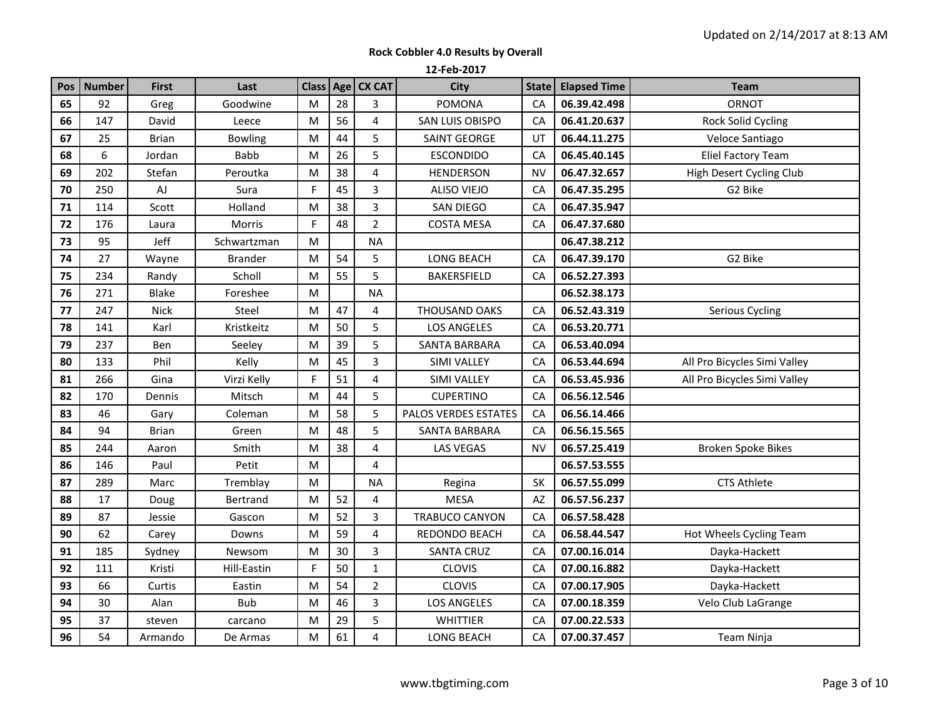| 12-Feb-2017 |               |              |                 |              |     |                         |                             |              |                     |                              |  |  |
|-------------|---------------|--------------|-----------------|--------------|-----|-------------------------|-----------------------------|--------------|---------------------|------------------------------|--|--|
| Pos         | <b>Number</b> | <b>First</b> | Last            | <b>Class</b> | Age | <b>CX CAT</b>           | City                        | <b>State</b> | <b>Elapsed Time</b> | <b>Team</b>                  |  |  |
| 65          | 92            | Greg         | Goodwine        | M            | 28  | 3                       | <b>POMONA</b>               | CA           | 06.39.42.498        | ORNOT                        |  |  |
| 66          | 147           | David        | Leece           | M            | 56  | 4                       | SAN LUIS OBISPO             | CA           | 06.41.20.637        | <b>Rock Solid Cycling</b>    |  |  |
| 67          | 25            | Brian        | <b>Bowling</b>  | M            | 44  | 5                       | <b>SAINT GEORGE</b>         | UT           | 06.44.11.275        | Veloce Santiago              |  |  |
| 68          | 6             | Jordan       | <b>Babb</b>     | M            | 26  | 5                       | <b>ESCONDIDO</b>            | CA           | 06.45.40.145        | <b>Eliel Factory Team</b>    |  |  |
| 69          | 202           | Stefan       | Peroutka        | M            | 38  | $\pmb{4}$               | <b>HENDERSON</b>            | NV           | 06.47.32.657        | High Desert Cycling Club     |  |  |
| 70          | 250           | AJ           | Sura            | F            | 45  | $\overline{3}$          | <b>ALISO VIEJO</b>          | CA           | 06.47.35.295        | G2 Bike                      |  |  |
| 71          | 114           | Scott        | Holland         | M            | 38  | $\overline{3}$          | <b>SAN DIEGO</b>            | CA           | 06.47.35.947        |                              |  |  |
| 72          | 176           | Laura        | <b>Morris</b>   | F            | 48  | $\overline{2}$          | <b>COSTA MESA</b>           | <b>CA</b>    | 06.47.37.680        |                              |  |  |
| 73          | 95            | Jeff         | Schwartzman     | M            |     | <b>NA</b>               |                             |              | 06.47.38.212        |                              |  |  |
| 74          | 27            | Wayne        | <b>Brander</b>  | M            | 54  | 5                       | LONG BEACH                  | CA           | 06.47.39.170        | G2 Bike                      |  |  |
| 75          | 234           | Randy        | Scholl          | M            | 55  | 5                       | <b>BAKERSFIELD</b>          | CA           | 06.52.27.393        |                              |  |  |
| 76          | 271           | <b>Blake</b> | Foreshee        | M            |     | NA                      |                             |              | 06.52.38.173        |                              |  |  |
| 77          | 247           | <b>Nick</b>  | Steel           | M            | 47  | 4                       | <b>THOUSAND OAKS</b>        | CA           | 06.52.43.319        | Serious Cycling              |  |  |
| 78          | 141           | Karl         | Kristkeitz      | M            | 50  | 5                       | <b>LOS ANGELES</b>          | CA           | 06.53.20.771        |                              |  |  |
| 79          | 237           | Ben          | Seeley          | M            | 39  | 5                       | SANTA BARBARA               | CA           | 06.53.40.094        |                              |  |  |
| 80          | 133           | Phil         | Kelly           | M            | 45  | $\overline{3}$          | <b>SIMI VALLEY</b>          | CA           | 06.53.44.694        | All Pro Bicycles Simi Valley |  |  |
| 81          | 266           | Gina         | Virzi Kelly     | F            | 51  | $\pmb{4}$               | <b>SIMI VALLEY</b>          | CA           | 06.53.45.936        | All Pro Bicycles Simi Valley |  |  |
| 82          | 170           | Dennis       | Mitsch          | M            | 44  | 5                       | <b>CUPERTINO</b>            | CA           | 06.56.12.546        |                              |  |  |
| 83          | 46            | Gary         | Coleman         | M            | 58  | 5                       | <b>PALOS VERDES ESTATES</b> | CA           | 06.56.14.466        |                              |  |  |
| 84          | 94            | Brian        | Green           | M            | 48  | 5                       | SANTA BARBARA               | CA           | 06.56.15.565        |                              |  |  |
| 85          | 244           | Aaron        | Smith           | M            | 38  | 4                       | <b>LAS VEGAS</b>            | <b>NV</b>    | 06.57.25.419        | <b>Broken Spoke Bikes</b>    |  |  |
| 86          | 146           | Paul         | Petit           | M            |     | $\overline{4}$          |                             |              | 06.57.53.555        |                              |  |  |
| 87          | 289           | Marc         | Tremblay        | M            |     | <b>NA</b>               | Regina                      | SK           | 06.57.55.099        | <b>CTS Athlete</b>           |  |  |
| 88          | 17            | Doug         | <b>Bertrand</b> | M            | 52  | 4                       | <b>MESA</b>                 | AZ           | 06.57.56.237        |                              |  |  |
| 89          | 87            | Jessie       | Gascon          | M            | 52  | 3                       | <b>TRABUCO CANYON</b>       | CA           | 06.57.58.428        |                              |  |  |
| 90          | 62            | Carey        | Downs           | M            | 59  | $\overline{\mathbf{4}}$ | REDONDO BEACH               | CA           | 06.58.44.547        | Hot Wheels Cycling Team      |  |  |
| 91          | 185           | Sydney       | Newsom          | M            | 30  | $\overline{3}$          | <b>SANTA CRUZ</b>           | CA           | 07.00.16.014        | Dayka-Hackett                |  |  |
| 92          | 111           | Kristi       | Hill-Eastin     | F            | 50  | $\mathbf{1}$            | <b>CLOVIS</b>               | CA           | 07.00.16.882        | Dayka-Hackett                |  |  |
| 93          | 66            | Curtis       | Eastin          | M            | 54  | $\overline{2}$          | <b>CLOVIS</b>               | CA           | 07.00.17.905        | Dayka-Hackett                |  |  |
| 94          | 30            | Alan         | <b>Bub</b>      | M            | 46  | $\overline{3}$          | <b>LOS ANGELES</b>          | CA           | 07.00.18.359        | Velo Club LaGrange           |  |  |
| 95          | 37            | steven       | carcano         | M            | 29  | 5                       | WHITTIER                    | CA           | 07.00.22.533        |                              |  |  |
| 96          | 54            | Armando      | De Armas        | M            | 61  | 4                       | LONG BEACH                  | CA           | 07.00.37.457        | <b>Team Ninja</b>            |  |  |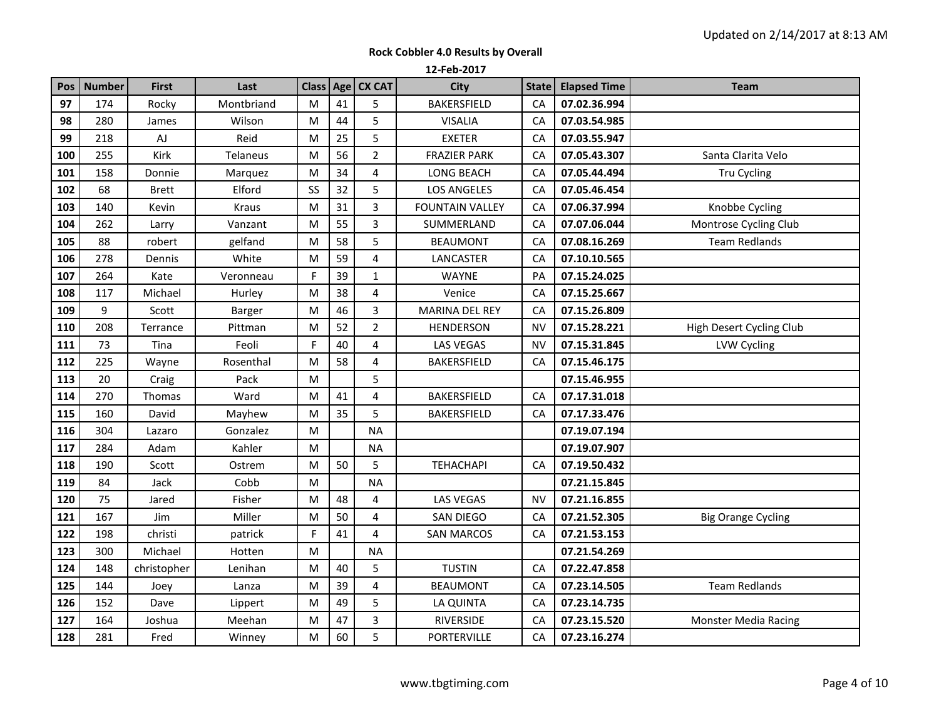| 12-Feb-2017 |               |              |                 |              |    |                |                        |              |                     |                             |  |  |
|-------------|---------------|--------------|-----------------|--------------|----|----------------|------------------------|--------------|---------------------|-----------------------------|--|--|
| Pos         | <b>Number</b> | <b>First</b> | Last            | <b>Class</b> |    | Age CX CAT     | City                   | <b>State</b> | <b>Elapsed Time</b> | <b>Team</b>                 |  |  |
| 97          | 174           | Rocky        | Montbriand      | M            | 41 | 5              | <b>BAKERSFIELD</b>     | CA           | 07.02.36.994        |                             |  |  |
| 98          | 280           | James        | Wilson          | M            | 44 | 5              | <b>VISALIA</b>         | CA           | 07.03.54.985        |                             |  |  |
| 99          | 218           | AJ           | Reid            | м            | 25 | 5              | <b>EXETER</b>          | CA           | 07.03.55.947        |                             |  |  |
| 100         | 255           | Kirk         | <b>Telaneus</b> | м            | 56 | 2              | <b>FRAZIER PARK</b>    | CA           | 07.05.43.307        | Santa Clarita Velo          |  |  |
| 101         | 158           | Donnie       | Marquez         | М            | 34 | 4              | LONG BEACH             | СA           | 07.05.44.494        | Tru Cycling                 |  |  |
| 102         | 68            | <b>Brett</b> | Elford          | SS           | 32 | 5              | <b>LOS ANGELES</b>     | СA           | 07.05.46.454        |                             |  |  |
| 103         | 140           | Kevin        | <b>Kraus</b>    | M            | 31 | 3              | <b>FOUNTAIN VALLEY</b> | CA           | 07.06.37.994        | Knobbe Cycling              |  |  |
| 104         | 262           | Larry        | Vanzant         | M            | 55 | 3              | SUMMERLAND             | CA           | 07.07.06.044        | Montrose Cycling Club       |  |  |
| 105         | 88            | robert       | gelfand         | M            | 58 | 5              | <b>BEAUMONT</b>        | СA           | 07.08.16.269        | <b>Team Redlands</b>        |  |  |
| 106         | 278           | Dennis       | White           | M            | 59 | 4              | LANCASTER              | СA           | 07.10.10.565        |                             |  |  |
| 107         | 264           | Kate         | Veronneau       | F.           | 39 | 1              | <b>WAYNE</b>           | PA           | 07.15.24.025        |                             |  |  |
| 108         | 117           | Michael      | Hurley          | M            | 38 | 4              | Venice                 | СA           | 07.15.25.667        |                             |  |  |
| 109         | 9             | Scott        | Barger          | м            | 46 | 3              | MARINA DEL REY         | CA           | 07.15.26.809        |                             |  |  |
| 110         | 208           | Terrance     | Pittman         | м            | 52 | $\overline{2}$ | <b>HENDERSON</b>       | <b>NV</b>    | 07.15.28.221        | High Desert Cycling Club    |  |  |
| 111         | 73            | Tina         | Feoli           | F            | 40 | 4              | <b>LAS VEGAS</b>       | <b>NV</b>    | 07.15.31.845        | LVW Cycling                 |  |  |
| 112         | 225           | Wayne        | Rosenthal       | м            | 58 | 4              | <b>BAKERSFIELD</b>     | CA           | 07.15.46.175        |                             |  |  |
| 113         | 20            | Craig        | Pack            | М            |    | 5              |                        |              | 07.15.46.955        |                             |  |  |
| 114         | 270           | Thomas       | Ward            | M            | 41 | 4              | <b>BAKERSFIELD</b>     | CA           | 07.17.31.018        |                             |  |  |
| 115         | 160           | David        | Mayhew          | M            | 35 | 5              | <b>BAKERSFIELD</b>     | СA           | 07.17.33.476        |                             |  |  |
| 116         | 304           | Lazaro       | Gonzalez        | м            |    | <b>NA</b>      |                        |              | 07.19.07.194        |                             |  |  |
| 117         | 284           | Adam         | Kahler          | M            |    | <b>NA</b>      |                        |              | 07.19.07.907        |                             |  |  |
| 118         | 190           | Scott        | Ostrem          | M            | 50 | 5              | <b>TEHACHAPI</b>       | CA           | 07.19.50.432        |                             |  |  |
| 119         | 84            | Jack         | Cobb            | м            |    | <b>NA</b>      |                        |              | 07.21.15.845        |                             |  |  |
| 120         | 75            | Jared        | Fisher          | М            | 48 | 4              | <b>LAS VEGAS</b>       | <b>NV</b>    | 07.21.16.855        |                             |  |  |
| 121         | 167           | Jim          | Miller          | M            | 50 | 4              | <b>SAN DIEGO</b>       | CA           | 07.21.52.305        | <b>Big Orange Cycling</b>   |  |  |
| 122         | 198           | christi      | patrick         | F            | 41 | 4              | <b>SAN MARCOS</b>      | СA           | 07.21.53.153        |                             |  |  |
| 123         | 300           | Michael      | Hotten          | M            |    | <b>NA</b>      |                        |              | 07.21.54.269        |                             |  |  |
| 124         | 148           | christopher  | Lenihan         | м            | 40 | 5              | <b>TUSTIN</b>          | СA           | 07.22.47.858        |                             |  |  |
| 125         | 144           | Joey         | Lanza           | м            | 39 | 4              | <b>BEAUMONT</b>        | СA           | 07.23.14.505        | <b>Team Redlands</b>        |  |  |
| 126         | 152           | Dave         | Lippert         | м            | 49 | 5              | LA QUINTA              | СA           | 07.23.14.735        |                             |  |  |
| 127         | 164           | Joshua       | Meehan          | м            | 47 | 3              | <b>RIVERSIDE</b>       | СA           | 07.23.15.520        | <b>Monster Media Racing</b> |  |  |
| 128         | 281           | Fred         | Winney          | M            | 60 | 5              | <b>PORTERVILLE</b>     | СA           | 07.23.16.274        |                             |  |  |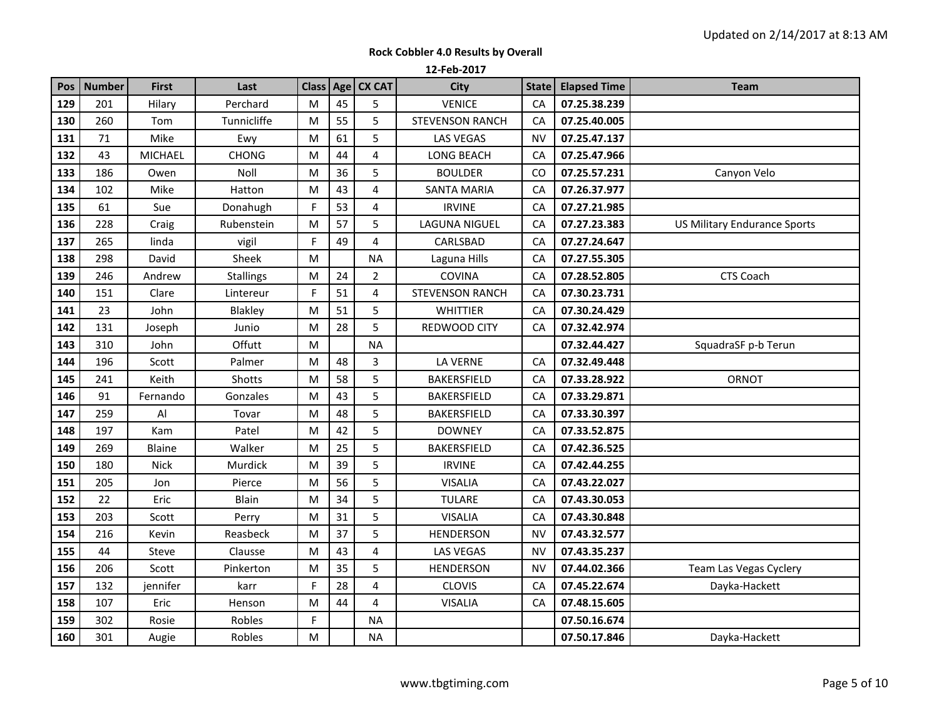| 12-Feb-2017 |               |                |               |              |    |              |                        |              |                     |                                     |  |  |
|-------------|---------------|----------------|---------------|--------------|----|--------------|------------------------|--------------|---------------------|-------------------------------------|--|--|
| Pos I       | <b>Number</b> | <b>First</b>   | Last          | <b>Class</b> |    | Age   CX CAT | <b>City</b>            | <b>State</b> | <b>Elapsed Time</b> | <b>Team</b>                         |  |  |
| 129         | 201           | Hilary         | Perchard      | м            | 45 | 5            | <b>VENICE</b>          | CA           | 07.25.38.239        |                                     |  |  |
| 130         | 260           | Tom            | Tunnicliffe   | м            | 55 | 5            | <b>STEVENSON RANCH</b> | CA           | 07.25.40.005        |                                     |  |  |
| 131         | 71            | Mike           | Ewy           | M            | 61 | 5            | <b>LAS VEGAS</b>       | <b>NV</b>    | 07.25.47.137        |                                     |  |  |
| 132         | 43            | <b>MICHAEL</b> | <b>CHONG</b>  | M            | 44 | 4            | <b>LONG BEACH</b>      | CA           | 07.25.47.966        |                                     |  |  |
| 133         | 186           | Owen           | Noll          | м            | 36 | 5            | <b>BOULDER</b>         | CO.          | 07.25.57.231        | Canyon Velo                         |  |  |
| 134         | 102           | Mike           | Hatton        | M            | 43 | 4            | SANTA MARIA            | СA           | 07.26.37.977        |                                     |  |  |
| 135         | 61            | Sue            | Donahugh      | F.           | 53 | 4            | <b>IRVINE</b>          | CA           | 07.27.21.985        |                                     |  |  |
| 136         | 228           | Craig          | Rubenstein    | M            | 57 | 5            | <b>LAGUNA NIGUEL</b>   | CA           | 07.27.23.383        | <b>US Military Endurance Sports</b> |  |  |
| 137         | 265           | linda          | vigil         | F.           | 49 | 4            | CARLSBAD               | CA           | 07.27.24.647        |                                     |  |  |
| 138         | 298           | David          | Sheek         | M            |    | ΝA           | Laguna Hills           | СA           | 07.27.55.305        |                                     |  |  |
| 139         | 246           | Andrew         | Stallings     | М            | 24 | 2            | COVINA                 | CA           | 07.28.52.805        | <b>CTS Coach</b>                    |  |  |
| 140         | 151           | Clare          | Lintereur     | F            | 51 | 4            | <b>STEVENSON RANCH</b> | СA           | 07.30.23.731        |                                     |  |  |
| 141         | 23            | John           | Blakley       | M            | 51 | 5            | <b>WHITTIER</b>        | СA           | 07.30.24.429        |                                     |  |  |
| 142         | 131           | Joseph         | Junio         | M            | 28 | 5            | <b>REDWOOD CITY</b>    | CA           | 07.32.42.974        |                                     |  |  |
| 143         | 310           | John           | Offutt        | M            |    | NA           |                        |              | 07.32.44.427        | SquadraSF p-b Terun                 |  |  |
| 144         | 196           | Scott          | Palmer        | М            | 48 | 3            | <b>LA VERNE</b>        | CA           | 07.32.49.448        |                                     |  |  |
| 145         | 241           | Keith          | <b>Shotts</b> | M            | 58 | 5            | <b>BAKERSFIELD</b>     | СA           | 07.33.28.922        | ORNOT                               |  |  |
| 146         | 91            | Fernando       | Gonzales      | M            | 43 | 5            | <b>BAKERSFIELD</b>     | CA           | 07.33.29.871        |                                     |  |  |
| 147         | 259           | Al             | Tovar         | М            | 48 | 5            | <b>BAKERSFIELD</b>     | СA           | 07.33.30.397        |                                     |  |  |
| 148         | 197           | Kam            | Patel         | M            | 42 | 5            | <b>DOWNEY</b>          | CA           | 07.33.52.875        |                                     |  |  |
| 149         | 269           | <b>Blaine</b>  | Walker        | М            | 25 | 5            | <b>BAKERSFIELD</b>     | СA           | 07.42.36.525        |                                     |  |  |
| 150         | 180           | Nick           | Murdick       | M            | 39 | 5            | <b>IRVINE</b>          | CA           | 07.42.44.255        |                                     |  |  |
| 151         | 205           | Jon            | Pierce        | M            | 56 | 5            | <b>VISALIA</b>         | CA           | 07.43.22.027        |                                     |  |  |
| 152         | 22            | Eric           | Blain         | М            | 34 | 5            | <b>TULARE</b>          | CА           | 07.43.30.053        |                                     |  |  |
| 153         | 203           | Scott          | Perry         | м            | 31 | 5            | <b>VISALIA</b>         | СA           | 07.43.30.848        |                                     |  |  |
| 154         | 216           | Kevin          | Reasbeck      | M            | 37 | 5            | <b>HENDERSON</b>       | <b>NV</b>    | 07.43.32.577        |                                     |  |  |
| 155         | 44            | Steve          | Clausse       | M            | 43 | 4            | <b>LAS VEGAS</b>       | <b>NV</b>    | 07.43.35.237        |                                     |  |  |
| 156         | 206           | Scott          | Pinkerton     | M            | 35 | 5            | <b>HENDERSON</b>       | <b>NV</b>    | 07.44.02.366        | Team Las Vegas Cyclery              |  |  |
| 157         | 132           | jennifer       | karr          | F            | 28 | 4            | <b>CLOVIS</b>          | СA           | 07.45.22.674        | Dayka-Hackett                       |  |  |
| 158         | 107           | Eric           | Henson        | M            | 44 | 4            | <b>VISALIA</b>         | CA           | 07.48.15.605        |                                     |  |  |
| 159         | 302           | Rosie          | Robles        | F.           |    | ΝA           |                        |              | 07.50.16.674        |                                     |  |  |
| 160         | 301           | Augie          | Robles        | М            |    | <b>NA</b>    |                        |              | 07.50.17.846        | Dayka-Hackett                       |  |  |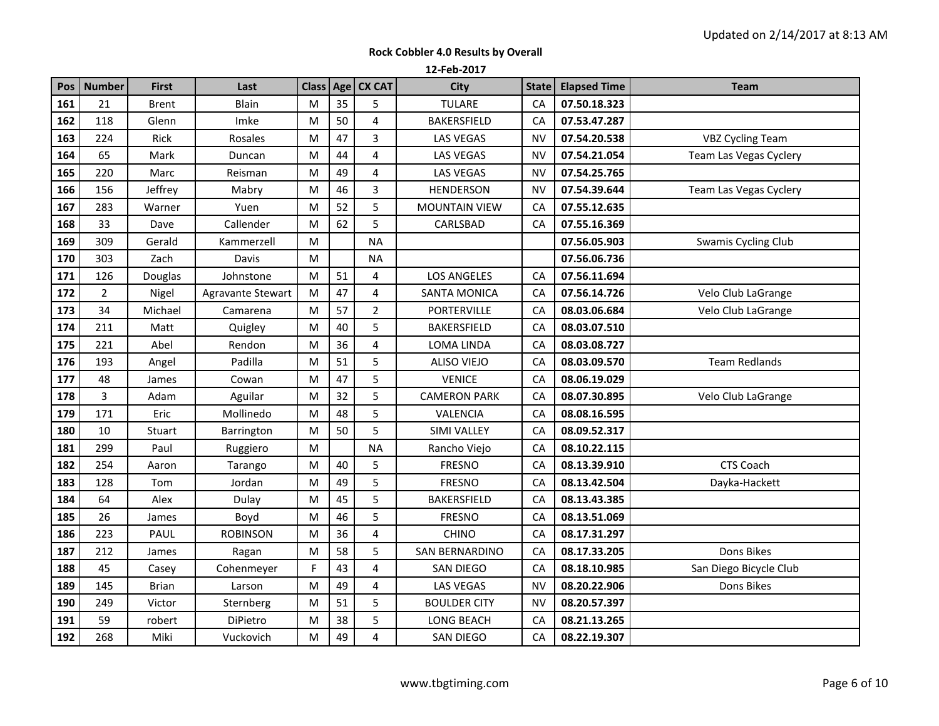| 12-Feb-2017 |                |              |                   |              |     |               |                      |              |                     |                            |  |  |
|-------------|----------------|--------------|-------------------|--------------|-----|---------------|----------------------|--------------|---------------------|----------------------------|--|--|
| Pos         | <b>Number</b>  | <b>First</b> | Last              | <b>Class</b> | Age | <b>CX CAT</b> | <b>City</b>          | <b>State</b> | <b>Elapsed Time</b> | <b>Team</b>                |  |  |
| 161         | 21             | Brent        | <b>Blain</b>      | м            | 35  | 5             | <b>TULARE</b>        | CA           | 07.50.18.323        |                            |  |  |
| 162         | 118            | Glenn        | Imke              | м            | 50  | 4             | <b>BAKERSFIELD</b>   | CA           | 07.53.47.287        |                            |  |  |
| 163         | 224            | Rick         | Rosales           | М            | 47  | 3             | <b>LAS VEGAS</b>     | <b>NV</b>    | 07.54.20.538        | <b>VBZ Cycling Team</b>    |  |  |
| 164         | 65             | Mark         | Duncan            | M            | 44  | 4             | <b>LAS VEGAS</b>     | <b>NV</b>    | 07.54.21.054        | Team Las Vegas Cyclery     |  |  |
| 165         | 220            | Marc         | Reisman           | м            | 49  | 4             | <b>LAS VEGAS</b>     | <b>NV</b>    | 07.54.25.765        |                            |  |  |
| 166         | 156            | Jeffrey      | Mabry             | м            | 46  | 3             | <b>HENDERSON</b>     | <b>NV</b>    | 07.54.39.644        | Team Las Vegas Cyclery     |  |  |
| 167         | 283            | Warner       | Yuen              | M            | 52  | 5             | <b>MOUNTAIN VIEW</b> | CA           | 07.55.12.635        |                            |  |  |
| 168         | 33             | Dave         | Callender         | M            | 62  | 5             | CARLSBAD             | CA           | 07.55.16.369        |                            |  |  |
| 169         | 309            | Gerald       | Kammerzell        | М            |     | <b>NA</b>     |                      |              | 07.56.05.903        | <b>Swamis Cycling Club</b> |  |  |
| 170         | 303            | Zach         | Davis             | М            |     | ΝA            |                      |              | 07.56.06.736        |                            |  |  |
| 171         | 126            | Douglas      | Johnstone         | M            | 51  | 4             | <b>LOS ANGELES</b>   | CA           | 07.56.11.694        |                            |  |  |
| 172         | $\overline{2}$ | Nigel        | Agravante Stewart | M            | 47  | 4             | <b>SANTA MONICA</b>  | CA           | 07.56.14.726        | Velo Club LaGrange         |  |  |
| 173         | 34             | Michael      | Camarena          | M            | 57  | 2             | PORTERVILLE          | CA           | 08.03.06.684        | Velo Club LaGrange         |  |  |
| 174         | 211            | Matt         | Quigley           | м            | 40  | 5             | BAKERSFIELD          | CA           | 08.03.07.510        |                            |  |  |
| 175         | 221            | Abel         | Rendon            | М            | 36  | 4             | LOMA LINDA           | CA           | 08.03.08.727        |                            |  |  |
| 176         | 193            | Angel        | Padilla           | M            | 51  | 5             | <b>ALISO VIEJO</b>   | CA           | 08.03.09.570        | <b>Team Redlands</b>       |  |  |
| 177         | 48             | James        | Cowan             | м            | 47  | 5             | <b>VENICE</b>        | CA           | 08.06.19.029        |                            |  |  |
| 178         | 3              | Adam         | Aguilar           | м            | 32  | 5             | <b>CAMERON PARK</b>  | CA           | 08.07.30.895        | Velo Club LaGrange         |  |  |
| 179         | 171            | Eric         | Mollinedo         | М            | 48  | 5             | VALENCIA             | CA           | 08.08.16.595        |                            |  |  |
| 180         | 10             | Stuart       | Barrington        | M            | 50  | 5             | <b>SIMI VALLEY</b>   | CA           | 08.09.52.317        |                            |  |  |
| 181         | 299            | Paul         | Ruggiero          | M            |     | <b>NA</b>     | Rancho Viejo         | CA           | 08.10.22.115        |                            |  |  |
| 182         | 254            | Aaron        | Tarango           | M            | 40  | 5             | <b>FRESNO</b>        | CA           | 08.13.39.910        | <b>CTS Coach</b>           |  |  |
| 183         | 128            | Tom          | Jordan            | M            | 49  | 5             | <b>FRESNO</b>        | CA           | 08.13.42.504        | Dayka-Hackett              |  |  |
| 184         | 64             | Alex         | Dulay             | M            | 45  | 5             | <b>BAKERSFIELD</b>   | CA           | 08.13.43.385        |                            |  |  |
| 185         | 26             | James        | Boyd              | м            | 46  | 5             | <b>FRESNO</b>        | CA           | 08.13.51.069        |                            |  |  |
| 186         | 223            | PAUL         | <b>ROBINSON</b>   | M            | 36  | 4             | <b>CHINO</b>         | CA           | 08.17.31.297        |                            |  |  |
| 187         | 212            | James        | Ragan             | M            | 58  | 5             | SAN BERNARDINO       | CA           | 08.17.33.205        | Dons Bikes                 |  |  |
| 188         | 45             | Casey        | Cohenmeyer        | F            | 43  | 4             | <b>SAN DIEGO</b>     | CA           | 08.18.10.985        | San Diego Bicycle Club     |  |  |
| 189         | 145            | Brian        | Larson            | м            | 49  | 4             | <b>LAS VEGAS</b>     | <b>NV</b>    | 08.20.22.906        | Dons Bikes                 |  |  |
| 190         | 249            | Victor       | Sternberg         | M            | 51  | 5             | <b>BOULDER CITY</b>  | NV           | 08.20.57.397        |                            |  |  |
| 191         | 59             | robert       | DiPietro          | М            | 38  | 5             | LONG BEACH           | CA           | 08.21.13.265        |                            |  |  |
| 192         | 268            | Miki         | Vuckovich         | M            | 49  | 4             | SAN DIEGO            | CA           | 08.22.19.307        |                            |  |  |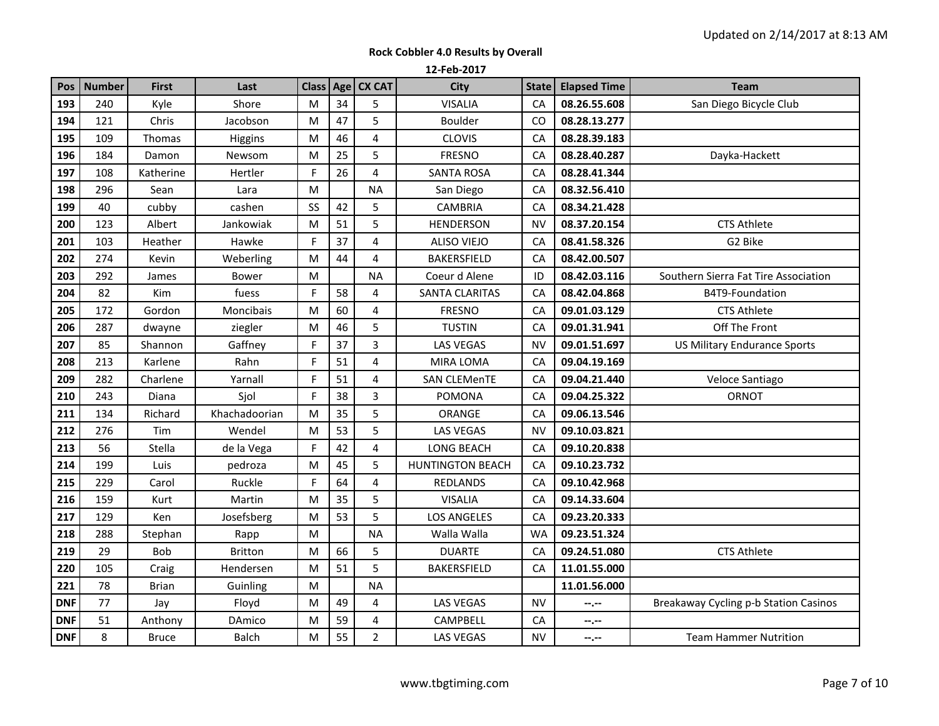| <b>Pos</b> | <b>Number</b> | First        | Last           | <b>Class Age</b> |    | <b>CX CAT</b>  | City                    | <b>State</b> | <b>Elapsed Time</b> | <b>Team</b>                           |
|------------|---------------|--------------|----------------|------------------|----|----------------|-------------------------|--------------|---------------------|---------------------------------------|
| 193        | 240           | Kyle         | Shore          | M                | 34 | 5              | <b>VISALIA</b>          | CA           | 08.26.55.608        | San Diego Bicycle Club                |
| 194        | 121           | Chris        | Jacobson       | M                | 47 | 5              | Boulder                 | CO           | 08.28.13.277        |                                       |
| 195        | 109           | Thomas       | Higgins        | M                | 46 | 4              | <b>CLOVIS</b>           | CA           | 08.28.39.183        |                                       |
| 196        | 184           | Damon        | Newsom         | M                | 25 | 5              | <b>FRESNO</b>           | CA           | 08.28.40.287        | Dayka-Hackett                         |
| 197        | 108           | Katherine    | Hertler        | F                | 26 | 4              | <b>SANTA ROSA</b>       | CA           | 08.28.41.344        |                                       |
| 198        | 296           | Sean         | Lara           | M                |    | ΝA             | San Diego               | CA           | 08.32.56.410        |                                       |
| 199        | 40            | cubby        | cashen         | SS               | 42 | 5              | <b>CAMBRIA</b>          | CA           | 08.34.21.428        |                                       |
| 200        | 123           | Albert       | Jankowiak      | M                | 51 | 5              | <b>HENDERSON</b>        | <b>NV</b>    | 08.37.20.154        | <b>CTS Athlete</b>                    |
| 201        | 103           | Heather      | Hawke          | F                | 37 | 4              | <b>ALISO VIEJO</b>      | CA           | 08.41.58.326        | G2 Bike                               |
| 202        | 274           | Kevin        | Weberling      | M                | 44 | 4              | BAKERSFIELD             | CA           | 08.42.00.507        |                                       |
| 203        | 292           | James        | <b>Bower</b>   | M                |    | <b>NA</b>      | Coeur d Alene           | ID           | 08.42.03.116        | Southern Sierra Fat Tire Association  |
| 204        | 82            | Kim          | fuess          | F                | 58 | 4              | <b>SANTA CLARITAS</b>   | CA           | 08.42.04.868        | B4T9-Foundation                       |
| 205        | 172           | Gordon       | Moncibais      | M                | 60 | 4              | <b>FRESNO</b>           | CA           | 09.01.03.129        | <b>CTS Athlete</b>                    |
| 206        | 287           | dwayne       | ziegler        | M                | 46 | 5              | <b>TUSTIN</b>           | CA           | 09.01.31.941        | Off The Front                         |
| 207        | 85            | Shannon      | Gaffney        | F                | 37 | 3              | <b>LAS VEGAS</b>        | <b>NV</b>    | 09.01.51.697        | <b>US Military Endurance Sports</b>   |
| 208        | 213           | Karlene      | Rahn           | F                | 51 | 4              | MIRA LOMA               | CA           | 09.04.19.169        |                                       |
| 209        | 282           | Charlene     | Yarnall        | F                | 51 | 4              | <b>SAN CLEMenTE</b>     | CA           | 09.04.21.440        | Veloce Santiago                       |
| 210        | 243           | Diana        | Sjol           | F                | 38 | 3              | <b>POMONA</b>           | CA           | 09.04.25.322        | ORNOT                                 |
| 211        | 134           | Richard      | Khachadoorian  | M                | 35 | 5              | ORANGE                  | CA           | 09.06.13.546        |                                       |
| 212        | 276           | Tim          | Wendel         | M                | 53 | 5              | <b>LAS VEGAS</b>        | <b>NV</b>    | 09.10.03.821        |                                       |
| 213        | 56            | Stella       | de la Vega     | F                | 42 | 4              | <b>LONG BEACH</b>       | CA           | 09.10.20.838        |                                       |
| 214        | 199           | Luis         | pedroza        | M                | 45 | 5              | <b>HUNTINGTON BEACH</b> | CA           | 09.10.23.732        |                                       |
| 215        | 229           | Carol        | Ruckle         | F                | 64 | 4              | <b>REDLANDS</b>         | CA           | 09.10.42.968        |                                       |
| 216        | 159           | Kurt         | Martin         | M                | 35 | 5              | <b>VISALIA</b>          | CA           | 09.14.33.604        |                                       |
| 217        | 129           | Ken          | Josefsberg     | M                | 53 | 5              | LOS ANGELES             | CA           | 09.23.20.333        |                                       |
| 218        | 288           | Stephan      | Rapp           | M                |    | <b>NA</b>      | Walla Walla             | <b>WA</b>    | 09.23.51.324        |                                       |
| 219        | 29            | Bob          | <b>Britton</b> | M                | 66 | 5              | <b>DUARTE</b>           | CA           | 09.24.51.080        | <b>CTS Athlete</b>                    |
| 220        | 105           | Craig        | Hendersen      | M                | 51 | 5              | <b>BAKERSFIELD</b>      | CA           | 11.01.55.000        |                                       |
| 221        | 78            | <b>Brian</b> | Guinling       | M                |    | <b>NA</b>      |                         |              | 11.01.56.000        |                                       |
| <b>DNF</b> | 77            | Jay          | Floyd          | M                | 49 | 4              | <b>LAS VEGAS</b>        | <b>NV</b>    | --.--               | Breakaway Cycling p-b Station Casinos |
| <b>DNF</b> | 51            | Anthony      | <b>DAmico</b>  | M                | 59 | 4              | CAMPBELL                | CA           | --.--               |                                       |
| <b>DNF</b> | 8             | <b>Bruce</b> | Balch          | M                | 55 | $\overline{2}$ | <b>LAS VEGAS</b>        | <b>NV</b>    | --.--               | <b>Team Hammer Nutrition</b>          |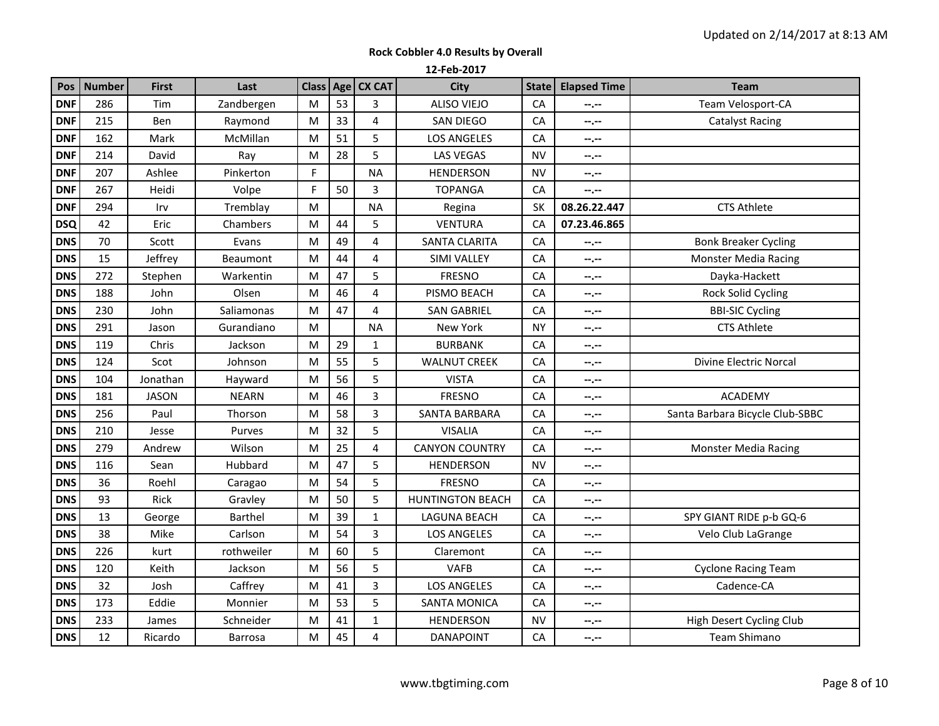|            | 12-Feb-2017   |              |                 |              |     |               |                         |              |                     |                                 |  |  |  |
|------------|---------------|--------------|-----------------|--------------|-----|---------------|-------------------------|--------------|---------------------|---------------------------------|--|--|--|
| Pos        | <b>Number</b> | <b>First</b> | Last            | <b>Class</b> | Age | <b>CX CAT</b> | City                    | <b>State</b> | <b>Elapsed Time</b> | <b>Team</b>                     |  |  |  |
| <b>DNF</b> | 286           | Tim          | Zandbergen      | M            | 53  | 3             | <b>ALISO VIEJO</b>      | CA           | $- - - - -$         | Team Velosport-CA               |  |  |  |
| <b>DNF</b> | 215           | Ben          | Raymond         | M            | 33  | 4             | <b>SAN DIEGO</b>        | CA           | --.--               | <b>Catalyst Racing</b>          |  |  |  |
| <b>DNF</b> | 162           | Mark         | McMillan        | M            | 51  | 5             | <b>LOS ANGELES</b>      | CA           | --.--               |                                 |  |  |  |
| <b>DNF</b> | 214           | David        | Rav             | M            | 28  | 5             | <b>LAS VEGAS</b>        | <b>NV</b>    | --.--               |                                 |  |  |  |
| <b>DNF</b> | 207           | Ashlee       | Pinkerton       | F            |     | <b>NA</b>     | <b>HENDERSON</b>        | <b>NV</b>    | --.--               |                                 |  |  |  |
| <b>DNF</b> | 267           | Heidi        | Volpe           | F            | 50  | 3             | <b>TOPANGA</b>          | CA           | --.--               |                                 |  |  |  |
| <b>DNF</b> | 294           | Irv          | Tremblay        | M            |     | <b>NA</b>     | Regina                  | <b>SK</b>    | 08.26.22.447        | <b>CTS Athlete</b>              |  |  |  |
| <b>DSQ</b> | 42            | Eric         | Chambers        | M            | 44  | 5             | <b>VENTURA</b>          | CA           | 07.23.46.865        |                                 |  |  |  |
| <b>DNS</b> | 70            | Scott        | Evans           | M            | 49  | 4             | <b>SANTA CLARITA</b>    | CA           | --.--               | <b>Bonk Breaker Cycling</b>     |  |  |  |
| <b>DNS</b> | 15            | Jeffrey      | <b>Beaumont</b> | М            | 44  | 4             | <b>SIMI VALLEY</b>      | CA           | --.--               | <b>Monster Media Racing</b>     |  |  |  |
| <b>DNS</b> | 272           | Stephen      | Warkentin       | M            | 47  | 5             | <b>FRESNO</b>           | CA           | ⊷.⊷                 | Dayka-Hackett                   |  |  |  |
| <b>DNS</b> | 188           | John         | Olsen           | M            | 46  | 4             | PISMO BEACH             | CA           | --.--               | Rock Solid Cycling              |  |  |  |
| <b>DNS</b> | 230           | John         | Saliamonas      | M            | 47  | 4             | <b>SAN GABRIEL</b>      | CA           | --.--               | <b>BBI-SIC Cycling</b>          |  |  |  |
| <b>DNS</b> | 291           | Jason        | Gurandiano      | M            |     | <b>NA</b>     | New York                | <b>NY</b>    | --.--               | <b>CTS Athlete</b>              |  |  |  |
| <b>DNS</b> | 119           | Chris        | Jackson         | M            | 29  | $\mathbf{1}$  | <b>BURBANK</b>          | CA           | --.--               |                                 |  |  |  |
| <b>DNS</b> | 124           | Scot         | Johnson         | ${\sf M}$    | 55  | 5             | <b>WALNUT CREEK</b>     | CA           | --.--               | Divine Electric Norcal          |  |  |  |
| <b>DNS</b> | 104           | Jonathan     | Hayward         | M            | 56  | 5             | <b>VISTA</b>            | CA           | --.--               |                                 |  |  |  |
| <b>DNS</b> | 181           | <b>JASON</b> | <b>NEARN</b>    | M            | 46  | 3             | <b>FRESNO</b>           | CA           | --.--               | <b>ACADEMY</b>                  |  |  |  |
| <b>DNS</b> | 256           | Paul         | Thorson         | М            | 58  | 3             | <b>SANTA BARBARA</b>    | СA           | --.--               | Santa Barbara Bicycle Club-SBBC |  |  |  |
| <b>DNS</b> | 210           | Jesse        | Purves          | M            | 32  | 5             | <b>VISALIA</b>          | CA           | --.--               |                                 |  |  |  |
| <b>DNS</b> | 279           | Andrew       | Wilson          | M            | 25  | 4             | <b>CANYON COUNTRY</b>   | CA           | --.--               | <b>Monster Media Racing</b>     |  |  |  |
| <b>DNS</b> | 116           | Sean         | Hubbard         | M            | 47  | 5             | <b>HENDERSON</b>        | <b>NV</b>    | --.--               |                                 |  |  |  |
| <b>DNS</b> | 36            | Roehl        | Caragao         | M            | 54  | 5             | <b>FRESNO</b>           | CA           | --.--               |                                 |  |  |  |
| <b>DNS</b> | 93            | Rick         | Gravley         | M            | 50  | 5             | <b>HUNTINGTON BEACH</b> | CA           | --.--               |                                 |  |  |  |
| <b>DNS</b> | 13            | George       | Barthel         | ${\sf M}$    | 39  | $\mathbf{1}$  | <b>LAGUNA BEACH</b>     | CA           | --.--               | SPY GIANT RIDE p-b GQ-6         |  |  |  |
| <b>DNS</b> | 38            | Mike         | Carlson         | M            | 54  | 3             | <b>LOS ANGELES</b>      | CA           | --.--               | Velo Club LaGrange              |  |  |  |
| <b>DNS</b> | 226           | kurt         | rothweiler      | M            | 60  | 5             | Claremont               | CA           | --.--               |                                 |  |  |  |
| <b>DNS</b> | 120           | Keith        | Jackson         | M            | 56  | 5             | <b>VAFB</b>             | CA           | --.--               | <b>Cyclone Racing Team</b>      |  |  |  |
| <b>DNS</b> | 32            | Josh         | Caffrey         | М            | 41  | 3             | <b>LOS ANGELES</b>      | CA           | --.--               | Cadence-CA                      |  |  |  |
| <b>DNS</b> | 173           | Eddie        | Monnier         | M            | 53  | 5             | <b>SANTA MONICA</b>     | CA           | --.--               |                                 |  |  |  |
| <b>DNS</b> | 233           | James        | Schneider       | M            | 41  | $\mathbf{1}$  | <b>HENDERSON</b>        | <b>NV</b>    | --.--               | High Desert Cycling Club        |  |  |  |
| <b>DNS</b> | 12            | Ricardo      | <b>Barrosa</b>  | M            | 45  | 4             | <b>DANAPOINT</b>        | CA           | --.--               | <b>Team Shimano</b>             |  |  |  |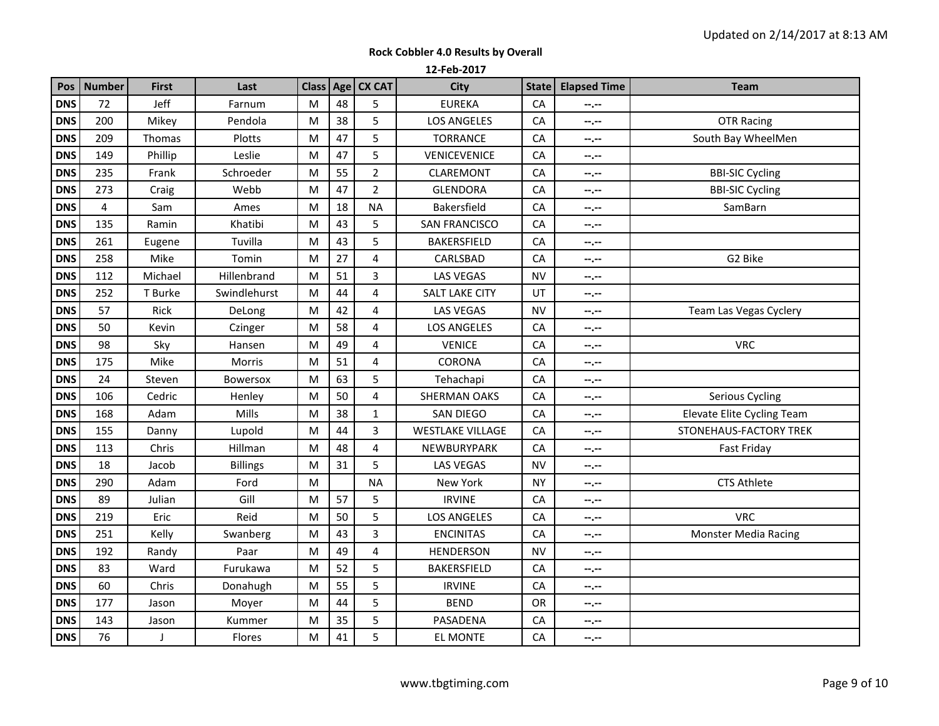|            | 12-Feb-2017   |              |                 |              |     |                         |                         |           |                     |                             |  |  |  |
|------------|---------------|--------------|-----------------|--------------|-----|-------------------------|-------------------------|-----------|---------------------|-----------------------------|--|--|--|
| Pos        | <b>Number</b> | <b>First</b> | Last            | <b>Class</b> | Age | <b>CX CAT</b>           | <b>City</b>             | State l   | <b>Elapsed Time</b> | <b>Team</b>                 |  |  |  |
| <b>DNS</b> | 72            | Jeff         | Farnum          | M            | 48  | 5                       | <b>EUREKA</b>           | CA        | --.--               |                             |  |  |  |
| <b>DNS</b> | 200           | Mikey        | Pendola         | M            | 38  | 5                       | <b>LOS ANGELES</b>      | CA        | --.--               | <b>OTR Racing</b>           |  |  |  |
| <b>DNS</b> | 209           | Thomas       | Plotts          | M            | 47  | 5                       | <b>TORRANCE</b>         | CA        | --.--               | South Bay WheelMen          |  |  |  |
| <b>DNS</b> | 149           | Phillip      | Leslie          | M            | 47  | 5                       | VENICEVENICE            | CA        | --.--               |                             |  |  |  |
| <b>DNS</b> | 235           | Frank        | Schroeder       | M            | 55  | $\overline{2}$          | <b>CLAREMONT</b>        | CA        | --.--               | <b>BBI-SIC Cycling</b>      |  |  |  |
| <b>DNS</b> | 273           | Craig        | Webb            | M            | 47  | $\overline{2}$          | <b>GLENDORA</b>         | CA        | --.--               | <b>BBI-SIC Cycling</b>      |  |  |  |
| <b>DNS</b> | 4             | Sam          | Ames            | M            | 18  | <b>NA</b>               | Bakersfield             | CA        | --.--               | SamBarn                     |  |  |  |
| <b>DNS</b> | 135           | Ramin        | Khatibi         | M            | 43  | 5                       | <b>SAN FRANCISCO</b>    | CA        | --.--               |                             |  |  |  |
| <b>DNS</b> | 261           | Eugene       | Tuvilla         | M            | 43  | 5                       | <b>BAKERSFIELD</b>      | CA        | --.--               |                             |  |  |  |
| <b>DNS</b> | 258           | Mike         | Tomin           | M            | 27  | 4                       | CARLSBAD                | CA        | --.--               | G2 Bike                     |  |  |  |
| <b>DNS</b> | 112           | Michael      | Hillenbrand     | M            | 51  | 3                       | <b>LAS VEGAS</b>        | <b>NV</b> | --.--               |                             |  |  |  |
| <b>DNS</b> | 252           | T Burke      | Swindlehurst    | M            | 44  | 4                       | SALT LAKE CITY          | UT        | --.--               |                             |  |  |  |
| <b>DNS</b> | 57            | Rick         | DeLong          | M            | 42  | 4                       | <b>LAS VEGAS</b>        | <b>NV</b> | --.--               | Team Las Vegas Cyclery      |  |  |  |
| <b>DNS</b> | 50            | Kevin        | Czinger         | M            | 58  | 4                       | LOS ANGELES             | CA        | --.--               |                             |  |  |  |
| <b>DNS</b> | 98            | Sky          | Hansen          | M            | 49  | 4                       | <b>VENICE</b>           | CA        | --.--               | <b>VRC</b>                  |  |  |  |
| <b>DNS</b> | 175           | Mike         | <b>Morris</b>   | M            | 51  | 4                       | <b>CORONA</b>           | CA        | --.--               |                             |  |  |  |
| <b>DNS</b> | 24            | Steven       | Bowersox        | M            | 63  | 5                       | Tehachapi               | CA        | --.--               |                             |  |  |  |
| <b>DNS</b> | 106           | Cedric       | Henley          | M            | 50  | 4                       | <b>SHERMAN OAKS</b>     | CA        | --.--               | Serious Cycling             |  |  |  |
| <b>DNS</b> | 168           | Adam         | Mills           | M            | 38  | $\mathbf{1}$            | <b>SAN DIEGO</b>        | CA        | --.--               | Elevate Elite Cycling Team  |  |  |  |
| <b>DNS</b> | 155           | Danny        | Lupold          | M            | 44  | 3                       | <b>WESTLAKE VILLAGE</b> | CA        | --.--               | STONEHAUS-FACTORY TREK      |  |  |  |
| <b>DNS</b> | 113           | Chris        | Hillman         | M            | 48  | 4                       | NEWBURYPARK             | CA        | --.--               | <b>Fast Friday</b>          |  |  |  |
| <b>DNS</b> | 18            | Jacob        | <b>Billings</b> | M            | 31  | 5                       | <b>LAS VEGAS</b>        | <b>NV</b> | --.--               |                             |  |  |  |
| <b>DNS</b> | 290           | Adam         | Ford            | M            |     | <b>NA</b>               | <b>New York</b>         | <b>NY</b> | --.--               | <b>CTS Athlete</b>          |  |  |  |
| <b>DNS</b> | 89            | Julian       | Gill            | M            | 57  | 5                       | <b>IRVINE</b>           | CA        | --.--               |                             |  |  |  |
| <b>DNS</b> | 219           | Eric         | Reid            | M            | 50  | 5                       | <b>LOS ANGELES</b>      | CA        | --.--               | <b>VRC</b>                  |  |  |  |
| <b>DNS</b> | 251           | Kelly        | Swanberg        | M            | 43  | 3                       | <b>ENCINITAS</b>        | CA        | --.--               | <b>Monster Media Racing</b> |  |  |  |
| <b>DNS</b> | 192           | Randy        | Paar            | M            | 49  | $\overline{\mathbf{4}}$ | <b>HENDERSON</b>        | <b>NV</b> | --.--               |                             |  |  |  |
| <b>DNS</b> | 83            | Ward         | Furukawa        | M            | 52  | 5                       | <b>BAKERSFIELD</b>      | CA        | --.--               |                             |  |  |  |
| <b>DNS</b> | 60            | Chris        | Donahugh        | M            | 55  | 5                       | <b>IRVINE</b>           | CA        | $-2 - 1$            |                             |  |  |  |
| <b>DNS</b> | 177           | Jason        | Moyer           | M            | 44  | 5                       | <b>BEND</b>             | OR        | --.--               |                             |  |  |  |
| <b>DNS</b> | 143           | Jason        | Kummer          | M            | 35  | 5                       | PASADENA                | CA        | --.--               |                             |  |  |  |
| <b>DNS</b> | 76            | J            | Flores          | M            | 41  | 5                       | <b>EL MONTE</b>         | CA        | --.--               |                             |  |  |  |